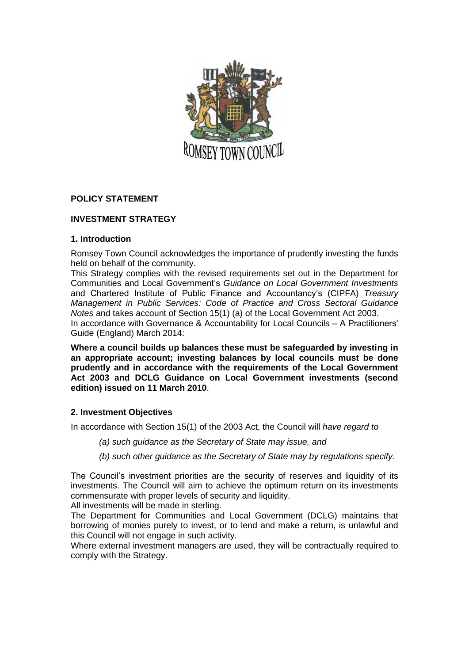

# **POLICY STATEMENT**

## **INVESTMENT STRATEGY**

### **1. Introduction**

Romsey Town Council acknowledges the importance of prudently investing the funds held on behalf of the community.

This Strategy complies with the revised requirements set out in the Department for Communities and Local Government's *Guidance on Local Government Investments*  and Chartered Institute of Public Finance and Accountancy's (CIPFA) *Treasury Management in Public Services: Code of Practice and Cross Sectoral Guidance Notes* and takes account of Section 15(1) (a) of the Local Government Act 2003. In accordance with Governance & Accountability for Local Councils – A Practitioners' Guide (England) March 2014:

**Where a council builds up balances these must be safeguarded by investing in an appropriate account; investing balances by local councils must be done prudently and in accordance with the requirements of the Local Government Act 2003 and DCLG Guidance on Local Government investments (second edition) issued on 11 March 2010**.

### **2. Investment Objectives**

In accordance with Section 15(1) of the 2003 Act, the Council will *have regard to* 

- *(a) such guidance as the Secretary of State may issue, and*
- *(b) such other guidance as the Secretary of State may by regulations specify.*

The Council's investment priorities are the security of reserves and liquidity of its investments. The Council will aim to achieve the optimum return on its investments commensurate with proper levels of security and liquidity.

All investments will be made in sterling.

The Department for Communities and Local Government (DCLG) maintains that borrowing of monies purely to invest, or to lend and make a return, is unlawful and this Council will not engage in such activity.

Where external investment managers are used, they will be contractually required to comply with the Strategy.